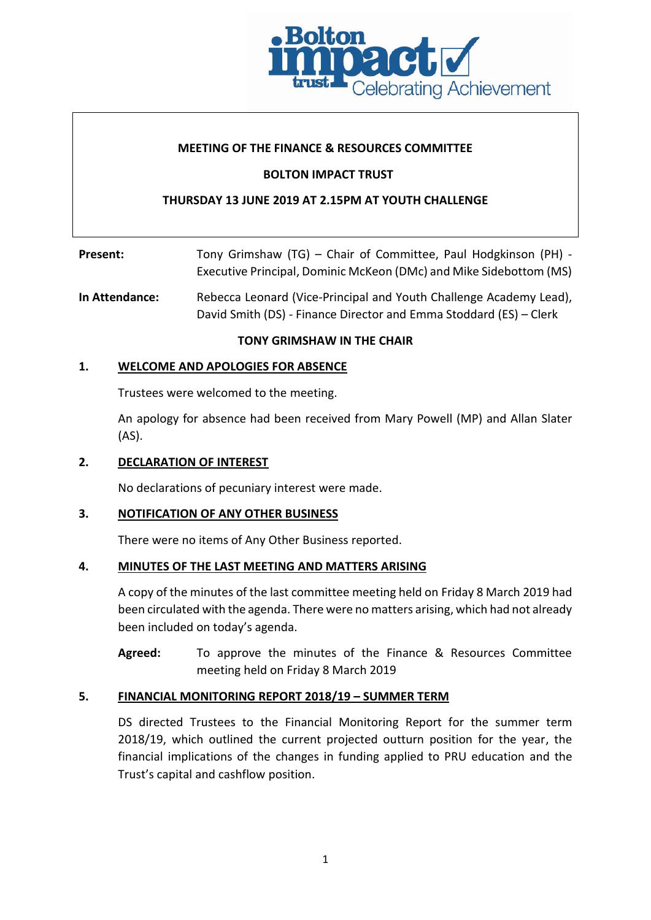

## **MEETING OF THE FINANCE & RESOURCES COMMITTEE**

### **BOLTON IMPACT TRUST**

## **THURSDAY 13 JUNE 2019 AT 2.15PM AT YOUTH CHALLENGE**

| Present: | Tony Grimshaw (TG) – Chair of Committee, Paul Hodgkinson (PH) -    |
|----------|--------------------------------------------------------------------|
|          | Executive Principal, Dominic McKeon (DMc) and Mike Sidebottom (MS) |

**In Attendance:** Rebecca Leonard (Vice-Principal and Youth Challenge Academy Lead), David Smith (DS) - Finance Director and Emma Stoddard (ES) – Clerk

#### **TONY GRIMSHAW IN THE CHAIR**

## **1. WELCOME AND APOLOGIES FOR ABSENCE**

Trustees were welcomed to the meeting.

An apology for absence had been received from Mary Powell (MP) and Allan Slater (AS).

#### **2. DECLARATION OF INTEREST**

No declarations of pecuniary interest were made.

### **3. NOTIFICATION OF ANY OTHER BUSINESS**

There were no items of Any Other Business reported.

#### **4. MINUTES OF THE LAST MEETING AND MATTERS ARISING**

A copy of the minutes of the last committee meeting held on Friday 8 March 2019 had been circulated with the agenda. There were no matters arising, which had not already been included on today's agenda.

**Agreed:** To approve the minutes of the Finance & Resources Committee meeting held on Friday 8 March 2019

#### **5. FINANCIAL MONITORING REPORT 2018/19 – SUMMER TERM**

DS directed Trustees to the Financial Monitoring Report for the summer term 2018/19, which outlined the current projected outturn position for the year, the financial implications of the changes in funding applied to PRU education and the Trust's capital and cashflow position.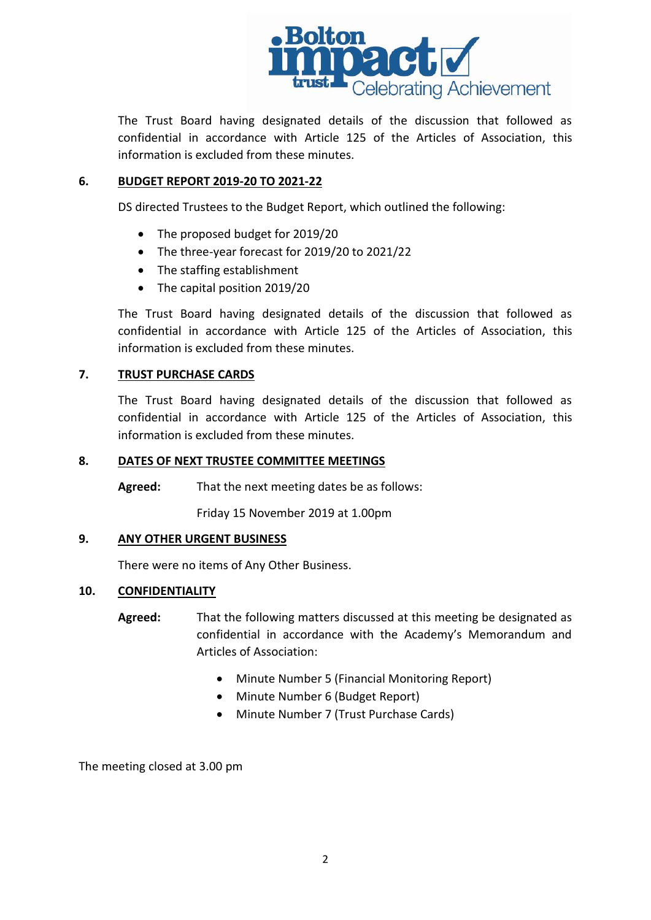

The Trust Board having designated details of the discussion that followed as confidential in accordance with Article 125 of the Articles of Association, this information is excluded from these minutes.

# **6. BUDGET REPORT 2019-20 TO 2021-22**

DS directed Trustees to the Budget Report, which outlined the following:

- The proposed budget for 2019/20
- The three-year forecast for 2019/20 to 2021/22
- The staffing establishment
- The capital position 2019/20

The Trust Board having designated details of the discussion that followed as confidential in accordance with Article 125 of the Articles of Association, this information is excluded from these minutes.

# **7. TRUST PURCHASE CARDS**

The Trust Board having designated details of the discussion that followed as confidential in accordance with Article 125 of the Articles of Association, this information is excluded from these minutes.

#### **8. DATES OF NEXT TRUSTEE COMMITTEE MEETINGS**

**Agreed:** That the next meeting dates be as follows:

Friday 15 November 2019 at 1.00pm

### **9. ANY OTHER URGENT BUSINESS**

There were no items of Any Other Business.

#### **10. CONFIDENTIALITY**

- **Agreed:** That the following matters discussed at this meeting be designated as confidential in accordance with the Academy's Memorandum and Articles of Association:
	- Minute Number 5 (Financial Monitoring Report)
	- Minute Number 6 (Budget Report)
	- Minute Number 7 (Trust Purchase Cards)

The meeting closed at 3.00 pm